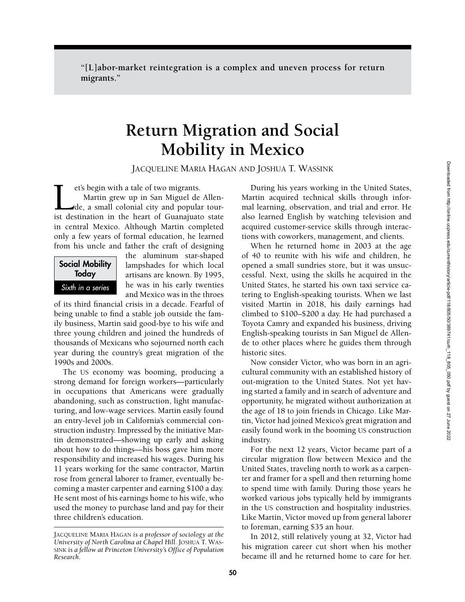**"[L]abor-market reintegration is a complex and uneven process for return migrants."**

# **Return Migration and Social Mobility in Mexico**

JACQUELINE MARIA HAGAN AND JOSHUA T. WASSINK

I et's begin with a tale of two migrants.<br>Martin grew up in San Miguel de<br>de, a small colonial city and popular is destination in the heart of Guanaiuat Martin grew up in San Miguel de Allende, a small colonial city and popular tourist destination in the heart of Guanajuato state in central Mexico. Although Martin completed only a few years of formal education, he learned from his uncle and father the craft of designing



the aluminum star-shaped lampshades for which local artisans are known. By 1995, he was in his early twenties and Mexico was in the throes

of its third financial crisis in a decade. Fearful of being unable to find a stable job outside the family business, Martin said good-bye to his wife and three young children and joined the hundreds of thousands of Mexicans who sojourned north each year during the country's great migration of the 1990s and 2000s.

The US economy was booming, producing a strong demand for foreign workers—particularly in occupations that Americans were gradually abandoning, such as construction, light manufacturing, and low-wage services. Martin easily found an entry-level job in California's commercial construction industry. Impressed by the initiative Martin demonstrated—showing up early and asking about how to do things—his boss gave him more responsibility and increased his wages. During his 11 years working for the same contractor, Martin rose from general laborer to framer, eventually becoming a master carpenter and earning \$100 a day. He sent most of his earnings home to his wife, who used the money to purchase land and pay for their three children's education.

During his years working in the United States, Martin acquired technical skills through informal learning, observation, and trial and error. He also learned English by watching television and acquired customer-service skills through interactions with coworkers, management, and clients.

When he returned home in 2003 at the age of 40 to reunite with his wife and children, he opened a small sundries store, but it was unsuccessful. Next, using the skills he acquired in the United States, he started his own taxi service catering to English-speaking tourists. When we last visited Martin in 2018, his daily earnings had climbed to \$100–\$200 a day. He had purchased a Toyota Camry and expanded his business, driving English-speaking tourists in San Miguel de Allende to other places where he guides them through historic sites.

Now consider Victor, who was born in an agricultural community with an established history of out-migration to the United States. Not yet having started a family and in search of adventure and opportunity, he migrated without authorization at the age of 18 to join friends in Chicago. Like Martin, Victor had joined Mexico's great migration and easily found work in the booming US construction industry.

For the next 12 years, Victor became part of a circular migration flow between Mexico and the United States, traveling north to work as a carpenter and framer for a spell and then returning home to spend time with family. During those years he worked various jobs typically held by immigrants in the US construction and hospitality industries. Like Martin, Victor moved up from general laborer to foreman, earning \$35 an hour.

In 2012, still relatively young at 32, Victor had his migration career cut short when his mother became ill and he returned home to care for her.

JACQUELINE MARIA HAGAN *is a professor of sociology at the University of North Carolina at Chapel Hill.* JOSHUA T. WAS-SINK *is a fellow at Princeton University's Office of Population Research.*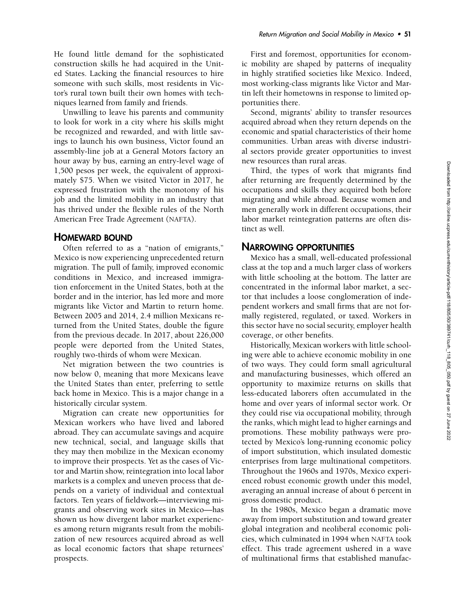He found little demand for the sophisticated construction skills he had acquired in the United States. Lacking the financial resources to hire someone with such skills, most residents in Victor's rural town built their own homes with techniques learned from family and friends.

Unwilling to leave his parents and community to look for work in a city where his skills might be recognized and rewarded, and with little savings to launch his own business, Victor found an assembly-line job at a General Motors factory an hour away by bus, earning an entry-level wage of 1,500 pesos per week, the equivalent of approximately \$75. When we visited Victor in 2017, he expressed frustration with the monotony of his job and the limited mobility in an industry that has thrived under the flexible rules of the North American Free Trade Agreement (NAFTA).

#### HOMEWARD BOUND

Often referred to as a "nation of emigrants," Mexico is now experiencing unprecedented return migration. The pull of family, improved economic conditions in Mexico, and increased immigration enforcement in the United States, both at the border and in the interior, has led more and more migrants like Victor and Martin to return home. Between 2005 and 2014, 2.4 million Mexicans returned from the United States, double the figure from the previous decade. In 2017, about 226,000 people were deported from the United States, roughly two-thirds of whom were Mexican.

Net migration between the two countries is now below 0, meaning that more Mexicans leave the United States than enter, preferring to settle back home in Mexico. This is a major change in a historically circular system.

Migration can create new opportunities for Mexican workers who have lived and labored abroad. They can accumulate savings and acquire new technical, social, and language skills that they may then mobilize in the Mexican economy to improve their prospects. Yet as the cases of Victor and Martin show, reintegration into local labor markets is a complex and uneven process that depends on a variety of individual and contextual factors. Ten years of fieldwork—interviewing migrants and observing work sites in Mexico—has shown us how divergent labor market experiences among return migrants result from the mobilization of new resources acquired abroad as well as local economic factors that shape returnees' prospects.

First and foremost, opportunities for economic mobility are shaped by patterns of inequality in highly stratified societies like Mexico. Indeed, most working-class migrants like Victor and Martin left their hometowns in response to limited opportunities there.

Second, migrants' ability to transfer resources acquired abroad when they return depends on the economic and spatial characteristics of their home communities. Urban areas with diverse industrial sectors provide greater opportunities to invest new resources than rural areas.

Third, the types of work that migrants find after returning are frequently determined by the occupations and skills they acquired both before migrating and while abroad. Because women and men generally work in different occupations, their labor market reintegration patterns are often distinct as well.

### NARROWING OPPORTUNITIES

Mexico has a small, well-educated professional class at the top and a much larger class of workers with little schooling at the bottom. The latter are concentrated in the informal labor market, a sector that includes a loose conglomeration of independent workers and small firms that are not formally registered, regulated, or taxed. Workers in this sector have no social security, employer health coverage, or other benefits.

Historically, Mexican workers with little schooling were able to achieve economic mobility in one of two ways. They could form small agricultural and manufacturing businesses, which offered an opportunity to maximize returns on skills that less-educated laborers often accumulated in the home and over years of informal sector work. Or they could rise via occupational mobility, through the ranks, which might lead to higher earnings and promotions. These mobility pathways were protected by Mexico's long-running economic policy of import substitution, which insulated domestic enterprises from large multinational competitors. Throughout the 1960s and 1970s, Mexico experienced robust economic growth under this model, averaging an annual increase of about 6 percent in gross domestic product.

In the 1980s, Mexico began a dramatic move away from import substitution and toward greater global integration and neoliberal economic policies, which culminated in 1994 when NAFTA took effect. This trade agreement ushered in a wave of multinational firms that established manufac-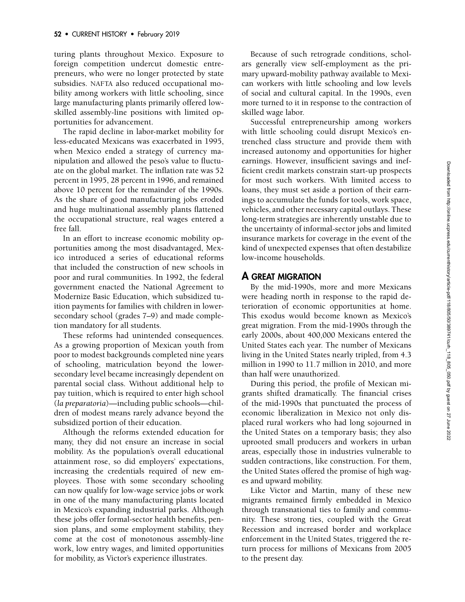turing plants throughout Mexico. Exposure to foreign competition undercut domestic entrepreneurs, who were no longer protected by state subsidies. NAFTA also reduced occupational mobility among workers with little schooling, since large manufacturing plants primarily offered lowskilled assembly-line positions with limited opportunities for advancement.

The rapid decline in labor-market mobility for less-educated Mexicans was exacerbated in 1995, when Mexico ended a strategy of currency manipulation and allowed the peso's value to fluctuate on the global market. The inflation rate was 52 percent in 1995, 28 percent in 1996, and remained above 10 percent for the remainder of the 1990s. As the share of good manufacturing jobs eroded and huge multinational assembly plants flattened the occupational structure, real wages entered a free fall.

In an effort to increase economic mobility opportunities among the most disadvantaged, Mexico introduced a series of educational reforms that included the construction of new schools in poor and rural communities. In 1992, the federal government enacted the National Agreement to Modernize Basic Education, which subsidized tuition payments for families with children in lowersecondary school (grades 7–9) and made completion mandatory for all students.

These reforms had unintended consequences. As a growing proportion of Mexican youth from poor to modest backgrounds completed nine years of schooling, matriculation beyond the lowersecondary level became increasingly dependent on parental social class. Without additional help to pay tuition, which is required to enter high school (*la preparatoria*)—including public schools—children of modest means rarely advance beyond the subsidized portion of their education.

Although the reforms extended education for many, they did not ensure an increase in social mobility. As the population's overall educational attainment rose, so did employers' expectations, increasing the credentials required of new employees. Those with some secondary schooling can now qualify for low-wage service jobs or work in one of the many manufacturing plants located in Mexico's expanding industrial parks. Although these jobs offer formal-sector health benefits, pension plans, and some employment stability, they come at the cost of monotonous assembly-line work, low entry wages, and limited opportunities for mobility, as Victor's experience illustrates.

Because of such retrograde conditions, scholars generally view self-employment as the primary upward-mobility pathway available to Mexican workers with little schooling and low levels of social and cultural capital. In the 1990s, even more turned to it in response to the contraction of skilled wage labor.

Successful entrepreneurship among workers with little schooling could disrupt Mexico's entrenched class structure and provide them with increased autonomy and opportunities for higher earnings. However, insufficient savings and inefficient credit markets constrain start-up prospects for most such workers. With limited access to loans, they must set aside a portion of their earnings to accumulate the funds for tools, work space, vehicles, and other necessary capital outlays. These long-term strategies are inherently unstable due to the uncertainty of informal-sector jobs and limited insurance markets for coverage in the event of the kind of unexpected expenses that often destabilize low-income households.

#### A GREAT MIGRATION

By the mid-1990s, more and more Mexicans were heading north in response to the rapid deterioration of economic opportunities at home. This exodus would become known as Mexico's great migration. From the mid-1990s through the early 2000s, about 400,000 Mexicans entered the United States each year. The number of Mexicans living in the United States nearly tripled, from 4.3 million in 1990 to 11.7 million in 2010, and more than half were unauthorized.

During this period, the profile of Mexican migrants shifted dramatically. The financial crises of the mid-1990s that punctuated the process of economic liberalization in Mexico not only displaced rural workers who had long sojourned in the United States on a temporary basis; they also uprooted small producers and workers in urban areas, especially those in industries vulnerable to sudden contractions, like construction. For them, the United States offered the promise of high wages and upward mobility.

Like Victor and Martin, many of these new migrants remained firmly embedded in Mexico through transnational ties to family and community. These strong ties, coupled with the Great Recession and increased border and workplace enforcement in the United States, triggered the return process for millions of Mexicans from 2005 to the present day.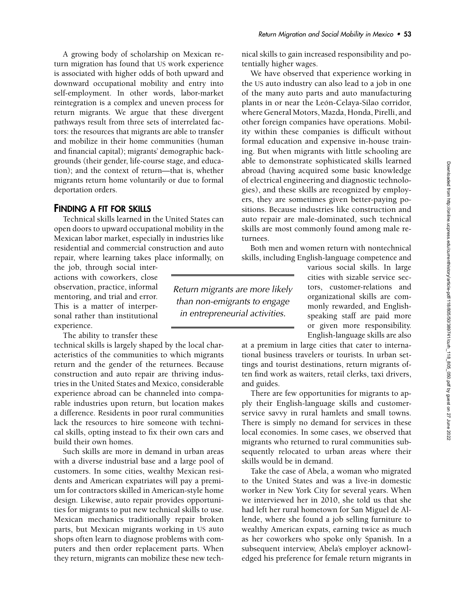A growing body of scholarship on Mexican return migration has found that US work experience is associated with higher odds of both upward and downward occupational mobility and entry into self-employment. In other words, labor-market reintegration is a complex and uneven process for return migrants. We argue that these divergent pathways result from three sets of interrelated factors: the resources that migrants are able to transfer and mobilize in their home communities (human and financial capital); migrants' demographic backgrounds (their gender, life-course stage, and education); and the context of return—that is, whether migrants return home voluntarily or due to formal deportation orders.

## FINDING A FIT FOR SKILLS

Technical skills learned in the United States can open doors to upward occupational mobility in the Mexican labor market, especially in industries like residential and commercial construction and auto repair, where learning takes place informally, on

the job, through social interactions with coworkers, close observation, practice, informal mentoring, and trial and error. This is a matter of interpersonal rather than institutional experience.

The ability to transfer these

technical skills is largely shaped by the local characteristics of the communities to which migrants return and the gender of the returnees. Because construction and auto repair are thriving industries in the United States and Mexico, considerable experience abroad can be channeled into comparable industries upon return, but location makes a difference. Residents in poor rural communities lack the resources to hire someone with technical skills, opting instead to fix their own cars and build their own homes.

Such skills are more in demand in urban areas with a diverse industrial base and a large pool of customers. In some cities, wealthy Mexican residents and American expatriates will pay a premium for contractors skilled in American-style home design. Likewise, auto repair provides opportunities for migrants to put new technical skills to use. Mexican mechanics traditionally repair broken parts, but Mexican migrants working in US auto shops often learn to diagnose problems with computers and then order replacement parts. When they return, migrants can mobilize these new tech-

*Return migrants are more likely than non-emigrants to engage in entrepreneurial activities.*

nical skills to gain increased responsibility and potentially higher wages.

We have observed that experience working in the US auto industry can also lead to a job in one of the many auto parts and auto manufacturing plants in or near the León-Celaya-Silao corridor, where General Motors, Mazda, Honda, Pirelli, and other foreign companies have operations. Mobility within these companies is difficult without formal education and expensive in-house training. But when migrants with little schooling are able to demonstrate sophisticated skills learned abroad (having acquired some basic knowledge of electrical engineering and diagnostic technologies), and these skills are recognized by employers, they are sometimes given better-paying positions. Because industries like construction and auto repair are male-dominated, such technical skills are most commonly found among male returnees.

Both men and women return with nontechnical skills, including English-language competence and

> various social skills. In large cities with sizable service sectors, customer-relations and organizational skills are commonly rewarded, and Englishspeaking staff are paid more or given more responsibility. English-language skills are also

at a premium in large cities that cater to international business travelers or tourists. In urban settings and tourist destinations, return migrants often find work as waiters, retail clerks, taxi drivers, and guides.

There are few opportunities for migrants to apply their English-language skills and customerservice savvy in rural hamlets and small towns. There is simply no demand for services in these local economies. In some cases, we observed that migrants who returned to rural communities subsequently relocated to urban areas where their skills would be in demand.

Take the case of Abela, a woman who migrated to the United States and was a live-in domestic worker in New York City for several years. When we interviewed her in 2010, she told us that she had left her rural hometown for San Miguel de Allende, where she found a job selling furniture to wealthy American expats, earning twice as much as her coworkers who spoke only Spanish. In a subsequent interview, Abela's employer acknowledged his preference for female return migrants in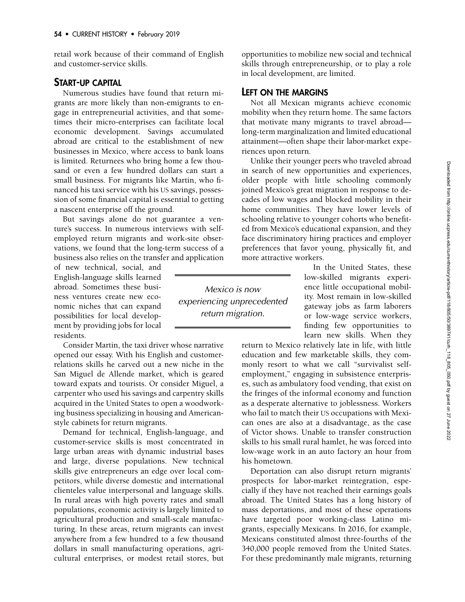retail work because of their command of English and customer-service skills.

#### START-UP CAPITAL

Numerous studies have found that return migrants are more likely than non-emigrants to engage in entrepreneurial activities, and that sometimes their micro-enterprises can facilitate local economic development. Savings accumulated abroad are critical to the establishment of new businesses in Mexico, where access to bank loans is limited. Returnees who bring home a few thousand or even a few hundred dollars can start a small business. For migrants like Martin, who financed his taxi service with his US savings, possession of some financial capital is essential to getting a nascent enterprise off the ground.

But savings alone do not guarantee a venture's success. In numerous interviews with selfemployed return migrants and work-site observations, we found that the long-term success of a business also relies on the transfer and application

of new technical, social, and English-language skills learned abroad. Sometimes these business ventures create new economic niches that can expand possibilities for local development by providing jobs for local residents.

Consider Martin, the taxi driver whose narrative opened our essay. With his English and customerrelations skills he carved out a new niche in the San Miguel de Allende market, which is geared toward expats and tourists. Or consider Miguel, a carpenter who used his savings and carpentry skills acquired in the United States to open a woodworking business specializing in housing and Americanstyle cabinets for return migrants.

Demand for technical, English-language, and customer-service skills is most concentrated in large urban areas with dynamic industrial bases and large, diverse populations. New technical skills give entrepreneurs an edge over local competitors, while diverse domestic and international clienteles value interpersonal and language skills. In rural areas with high poverty rates and small populations, economic activity is largely limited to agricultural production and small-scale manufacturing. In these areas, return migrants can invest anywhere from a few hundred to a few thousand dollars in small manufacturing operations, agricultural enterprises, or modest retail stores, but

opportunities to mobilize new social and technical skills through entrepreneurship, or to play a role in local development, are limited.

### LEFT ON THE MARGINS

*Mexico is now experiencing unprecedented return migration.*

Not all Mexican migrants achieve economic mobility when they return home. The same factors that motivate many migrants to travel abroad long-term marginalization and limited educational attainment—often shape their labor-market experiences upon return.

Unlike their younger peers who traveled abroad in search of new opportunities and experiences, older people with little schooling commonly joined Mexico's great migration in response to decades of low wages and blocked mobility in their home communities. They have lower levels of schooling relative to younger cohorts who benefited from Mexico's educational expansion, and they face discriminatory hiring practices and employer preferences that favor young, physically fit, and more attractive workers.

> In the United States, these low-skilled migrants experience little occupational mobility. Most remain in low-skilled gateway jobs as farm laborers or low-wage service workers, finding few opportunities to learn new skills. When they

return to Mexico relatively late in life, with little education and few marketable skills, they commonly resort to what we call "survivalist selfemployment," engaging in subsistence enterprises, such as ambulatory food vending, that exist on the fringes of the informal economy and function as a desperate alternative to joblessness. Workers who fail to match their US occupations with Mexican ones are also at a disadvantage, as the case of Victor shows. Unable to transfer construction skills to his small rural hamlet, he was forced into low-wage work in an auto factory an hour from his hometown.

Deportation can also disrupt return migrants' prospects for labor-market reintegration, especially if they have not reached their earnings goals abroad. The United States has a long history of mass deportations, and most of these operations have targeted poor working-class Latino migrants, especially Mexicans. In 2016, for example, Mexicans constituted almost three-fourths of the 340,000 people removed from the United States. For these predominantly male migrants, returning